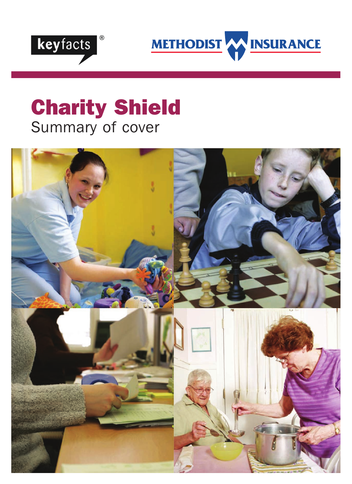

METHODIST AN INSURANCE

# Charity Shield Summary of cover

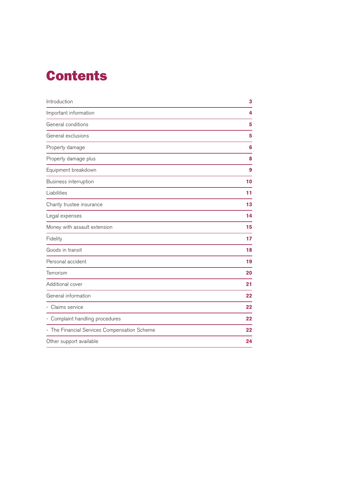## Contents

| Introduction                                 | 3  |
|----------------------------------------------|----|
| Important information                        | 4  |
| General conditions                           | 5  |
| General exclusions                           | 5  |
| Property damage                              | 6  |
| Property damage plus                         | 8  |
| Equipment breakdown                          | 9  |
| Business interruption                        | 10 |
| Liabilities                                  | 11 |
| Charity trustee insurance                    | 13 |
| Legal expenses                               | 14 |
| Money with assault extension                 | 15 |
| Fidelity                                     | 17 |
| Goods in transit                             | 18 |
| Personal accident                            | 19 |
| Terrorism                                    | 20 |
| Additional cover                             | 21 |
| General information                          | 22 |
| Claims service                               | 22 |
| - Complaint handling procedures              | 22 |
| - The Financial Services Compensation Scheme | 22 |
| Other support available                      | 24 |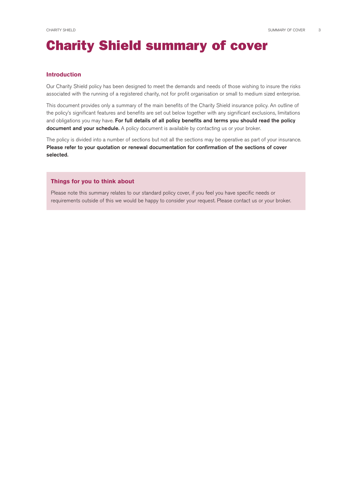## Charity Shield summary of cover

#### **Introduction**

Our Charity Shield policy has been designed to meet the demands and needs of those wishing to insure the risks associated with the running of a registered charity, not for profit organisation or small to medium sized enterprise.

This document provides only a summary of the main benefits of the Charity Shield insurance policy. An outline of the policy's significant features and benefits are set out below together with any significant exclusions, limitations and obligations you may have. For full details of all policy benefits and terms you should read the policy document and your schedule. A policy document is available by contacting us or your broker.

The policy is divided into a number of sections but not all the sections may be operative as part of your insurance. Please refer to your quotation or renewal documentation for confirmation of the sections of cover selected.

#### **Things for you to think about**

Please note this summary relates to our standard policy cover, if you feel you have specific needs or requirements outside of this we would be happy to consider your request. Please contact us or your broker.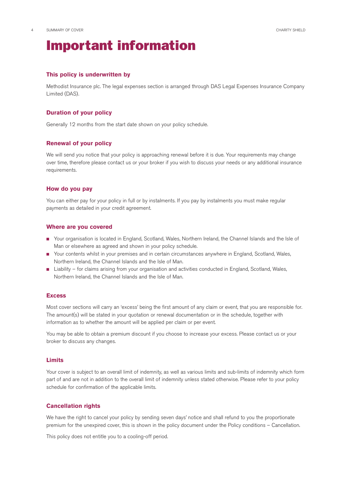## Important information

#### **This policy is underwritten by**

Methodist Insurance plc. The legal expenses section is arranged through DAS Legal Expenses Insurance Company Limited(DAS).

#### **Duration of your policy**

Generally 12 months from the start date shown on your policy schedule.

#### **Renewal of your policy**

We will send you notice that your policy is approaching renewal before it is due. Your requirements may change over time, therefore please contact us or your broker if you wish to discuss your needs or any additional insurance requirements.

#### **How do you pay**

You can either pay for your policy in full or by instalments. If you pay by instalments you must make regular payments as detailed in your credit agreement.

#### **Where are you covered**

- Your organisation is located in England, Scotland, Wales, Northern Ireland, the Channel Islands and the Isle of Man or elsewhere as agreed and shown in your policy schedule.
- Your contents whilst in your premises and in certain circumstances anywhere in England, Scotland, Wales, Northern Ireland, the Channel Islands and the Isle of Man.
- Liability for claims arising from your organisation and activities conducted in England, Scotland, Wales, Northern Ireland, the Channel Islands and the Isle of Man.

#### **Excess**

Most cover sections will carry an 'excess' being the first amount of any claim or event, that you are responsible for. The amount(s) will be stated in your quotation or renewal documentation or in the schedule, together with information as to whether the amount will be applied per claim or per event.

You may be able to obtain a premium discount if you choose to increase your excess. Please contact us or your broker to discuss any changes.

#### **Limits**

Your cover is subject to an overall limit of indemnity, as well as various limits and sub-limits of indemnity which form part of and are not in addition to the overall limit of indemnity unless stated otherwise. Please refer to your policy schedule for confirmation of the applicable limits.

#### **Cancellation rights**

We have the right to cancel your policy by sending seven days' notice and shall refund to you the proportionate premium for the unexpired cover, this is shown in the policy document under the Policy conditions – Cancellation.

This policy does not entitle you to a cooling-off period.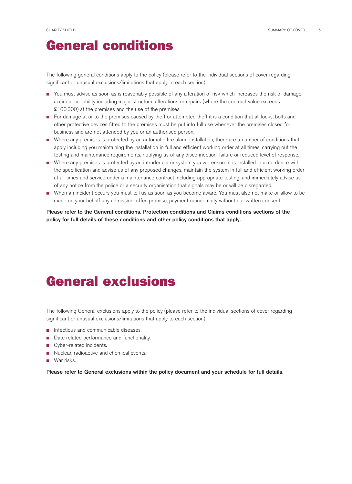### General conditions

The following general conditions apply to the policy (please refer to the individual sections of cover regarding significant or unusual exclusions/limitations that apply to each section):

- You must advise as soon as is reasonably possible of any alteration of risk which increases the risk of damage, accident or liability including major structural alterations or repairs (where the contract value exceeds  $£100,000$  at the premises and the use of the premises.
- For damage at or to the premises caused by theft or attempted theft it is a condition that all locks, bolts and other protective devices fitted to the premises must be put into full use whenever the premises closed for business and are not attended by you or an authorised person.
- Where any premises is protected by an automatic fire alarm installation, there are a number of conditions that apply including you maintaining the installation in full and efficient working order at all times, carrying out the testing and maintenance requirements, notifying us of any disconnection, failure or reduced level of response.
- Where any premises is protected by an intruder alarm system you will ensure it is installed in accordance with the specification and advise us of any proposed changes, maintain the system in full and efficient working order at all times and service under a maintenance contract including appropriate testing, and immediately advise us of any notice from the police or a security organisation that signals may be or will be disregarded.
- When an incident occurs you must tell us as soon as you become aware. You must also not make or allow to be made on your behalf any admission, offer, promise, payment or indemnity without our written consent.

Please refer to the General conditions, Protection conditions and Claims conditions sections of the policy for full details of these conditions and other policy conditions that apply.

### General exclusions

The following General exclusions apply to the policy (please refer to the individual sections of cover regarding significant or unusual exclusions/limitations that apply to each section).

- Infectious and communicable diseases.
- Date related performance and functionality.
- Cyber-related incidents.
- Nuclear, radioactive and chemical events.
- War risks.

Please refer to General exclusions within the policy document and your schedule for full details.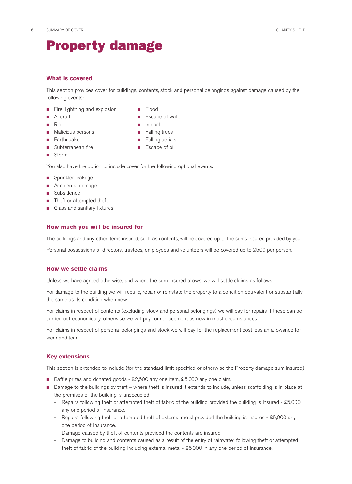## Property damage

#### **What is covered**

This section provides cover for buildings, contents, stock and personal belongings against damage caused by the following events:

- Fire, lightning and explosion Flood
- 
- 
- Malicious persons Falling trees
- 
- Subterranean fire Escape of oil
- Storm
- 
- Aircraft  **Escape of water**
- Riot Impact
	-
- Earthquake Falling aerials
	-

You also have the option to include cover for the following optional events:

- Sprinkler leakage
- Accidental damage
- Subsidence
- Theft or attempted theft
- Glass and sanitary fixtures

#### **How much you will be insured for**

The buildings and any other items insured, such as contents, will be covered up to the sums insured provided by you.

Personal possessions of directors, trustees, employees and volunteers will be covered up to £500 per person.

#### **How we settle claims**

Unless we have agreed otherwise, and where the sum insured allows, we will settle claims as follows:

For damage to the building we will rebuild, repair or reinstate the property to a condition equivalent or substantially the same as its condition when new.

For claims in respect of contents (excluding stock and personal belongings) we will pay for repairs if these can be carried out economically, otherwise we will pay for replacement as new in most circumstances.

For claims in respect of personal belongings and stock we will pay for the replacement cost less an allowance for wear and tear.

#### **Key extensions**

This section is extended to include (for the standard limit specified or otherwise the Property damage sum insured):

- Raffle prizes and donated goods £2,500 any one item, £5,000 any one claim.
- Damage to the buildings by theft where theft is insured it extends to include, unless scaffolding is in place at the premises or the building is unoccupied:
	- Repairs following theft or attempted theft of fabric of the building provided the building is insured £5,000 any one period of insurance.
	- Repairs following theft or attempted theft of external metal provided the building is insured £5,000 any one period of insurance.
	- Damage caused by theft of contents provided the contents are insured.
	- Damage to building and contents caused as a result of the entry of rainwater following theft or attempted theft of fabric of the building including external metal -  $$5,000$  in any one period of insurance.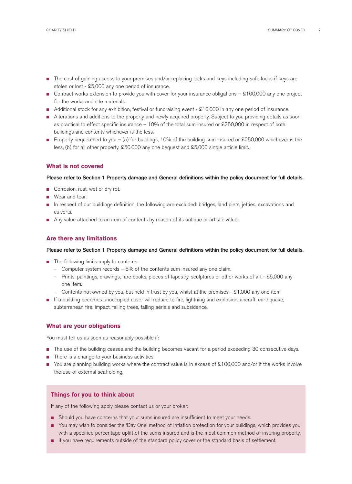- The cost of gaining access to your premises and/or replacing locks and keys including safe locks if keys are stolen or lost - £5,000 any one period of insurance.
- Contract works extension to provide you with cover for your insurance obligations £100,000 any one project for the works and site materials..
- Additional stock for any exhibition, festival or fundraising event £10,000 in any one period of insurance.
- Alterations and additions to the property and newly acquired property. Subject to you providing details as soon as practical to effect specific insurance – 10% of the total sum insured or  $\text{\pounds}250,000$  in respect of both buildings and contents whichever is the less.
- **■** Property bequeathed to you (a) for buildings, 10% of the building sum insured or £250,000 whichever is the less, (b) for all other property, £50,000 any one bequest and £5,000 single article limit.

#### **What is not covered**

#### Please refer to Section 1 Property damage and General definitions within the policy document for full details.

- Corrosion, rust, wet or dry rot.
- Wear and tear.
- In respect of our buildings definition, the following are excluded: bridges, land piers, jetties, excavations and culverts.
- Any value attached to an item of contents by reason of its antique or artistic value.

#### **Are there any limitations**

#### Please refer to Section 1 Property damage and General definitions within the policy document for full details.

- The following limits apply to contents:
	- Computer system records  $-5%$  of the contents sum insured any one claim.
	- Prints, paintings, drawings, rare books, pieces of tapestry, sculptures or other works of art £5,000 any one item.
	- Contents not owned by you, but held in trust by you, whilst at the premises  $-$  £1,000 any one item.
- If a building becomes unoccupied cover will reduce to fire, lightning and explosion, aircraft, earthquake, subterranean fire, impact, falling trees, falling aerials and subsidence.

#### **What are your obligations**

You must tell us as soon as reasonably possible if:

- The use of the building ceases and the building becomes vacant for a period exceeding 30 consecutive days.
- There is a change to your business activities.
- You are planning building works where the contract value is in excess of £100,000 and/or if the works involve the use of external scaffolding.

#### **Things for you to think about**

If any of the following apply please contact us or your broker:

- Should you have concerns that your sums insured are insufficient to meet your needs.
- You may wish to consider the 'Day One' method of inflation protection for your buildings, which provides you with a specified percentage uplift of the sums insured and is the most common method of insuring property.
- If you have requirements outside of the standard policy cover or the standard basis of settlement.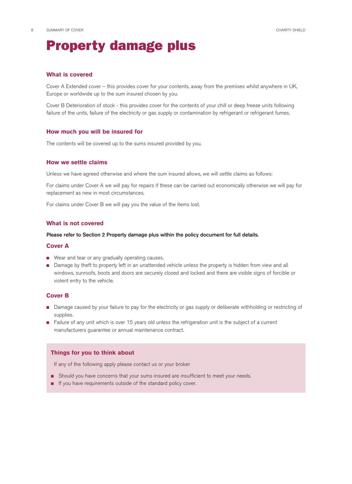### Property damage plus

#### **What is covered**

Cover A Extended cover – this provides cover for your contents, away from the premises whilst anywhere in UK, Europe or worldwide up to the sum insured chosen by you.

Cover B Deterioration of stock - this provides cover for the contents of your chill or deep freeze units following failure of the units, failure of the electricity or gas supply or contamination by refrigerant or refrigerant fumes.

#### **How much you will be insured for**

The contents will be covered up to the sums insured provided by you.

#### **How we settle claims**

Unless we have agreed otherwise and where the sum insured allows, we will settle claims as follows:

For claims under Cover A we will pay for repairs if these can be carried out economically otherwise we will pay for replacement as new in most circumstances.

For claims under Cover B we will pay you the value of the items lost.

#### **What is not covered**

#### Please refer to Section 2 Property damage plus within the policy document for full details.

#### **Cover A**

- Wear and tear or any gradually operating causes.
- Damage by theft to property left in an unattended vehicle unless the property is hidden from view and all windows, sunroofs, boots and doors are securely closed and locked and there are visible signs of forcible or violent entry to the vehicle.

#### **Cover B**

- Damage caused by your failure to pay for the electricity or gas supply or deliberate withholding or restricting of supplies.
- Failure of any unit which is over 15 years old unless the refrigeration unit is the subject of a current manufacturers guarantee or annual maintenance contract.

#### **Things for you to think about**

If any of the following apply please contact us or your broker

- Should you have concerns that your sums insured are insufficient to meet your needs.
- If you have requirements outside of the standard policy cover.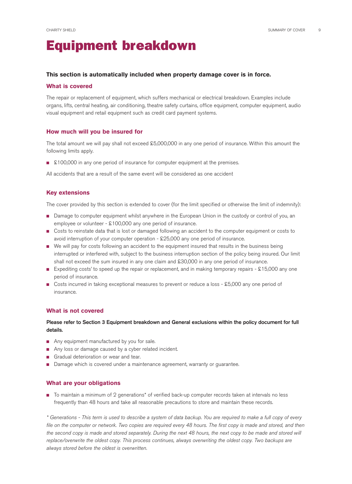## Equipment breakdown

#### **This section is automatically included when property damage cover is in force.**

#### **What is covered**

The repair or replacement of equipment, which suffers mechanical or electrical breakdown. Examples include organs, lifts, central heating, air conditioning, theatre safety curtains, office equipment, computer equipment, audio visual equipment and retail equipment such as credit card payment systems.

#### **How much will you be insured for**

The total amount we will pay shall not exceed £5,000,000 in any one period of insurance. Within this amount the following limits apply.

■ £100,000 in any one period of insurance for computer equipment at the premises.

All accidents that are a result of the same event will be considered as one accident

#### **Key extensions**

The cover provided by this section is extended to cover (for the limit specified or otherwise the limit of indemnity):

- Damage to computer equipment whilst anywhere in the European Union in the custody or control of you, an employee or volunteer - £100,000 any one period of insurance.
- Costs to reinstate data that is lost or damaged following an accident to the computer equipment or costs to avoid interruption of your computer operation  $-$  £25,000 any one period of insurance.
- We will pay for costs following an accident to the equipment insured that results in the business being interrupted or interfered with, subject to the business interruption section of the policy being insured. Our limit shall not exceed the sum insured in any one claim and £30,000 in any one period of insurance.
- Expediting costs' to speed up the repair or replacement, and in making temporary repairs £15,000 any one period of insurance.
- Costs incurred in taking exceptional measures to prevent or reduce a loss £5,000 any one period of insurance.

#### **What is not covered**

#### Please refer to Section 3 Equipment breakdown and General exclusions within the policy document for full details.

- Any equipment manufactured by you for sale.
- Any loss or damage caused by a cyber related incident.
- Gradual deterioration or wear and tear.
- Damage which is covered under a maintenance agreement, warranty or guarantee.

#### **What are your obligations**

■ To maintain a minimum of 2 generations<sup>\*</sup> of verified back-up computer records taken at intervals no less frequently than 48 hours and take all reasonable precautions to store and maintain these records.

\* Generations - This term is used to describe a system of data backup. You are required to make a full copy of every file on the computer or network. Two copies are required every 48 hours. The first copy is made and stored, and then the second copy is made and stored separately. During the next 48 hours, the next copy to be made and stored will replace/overwrite the oldest copy. This process continues, always overwriting the oldest copy. Two backups are always stored before the oldest is overwritten.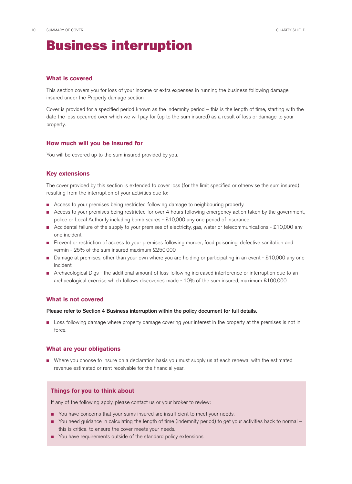### Business interruption

#### **What is covered**

This section covers you for loss of your income or extra expenses in running the business following damage insured under the Property damage section.

Cover is provided for a specified period known as the indemnity period – this is the length of time, starting with the date the loss occurred over which we will pay for (up to the sum insured) as a result of loss or damage to your property.

#### **How much will you be insured for**

You will be covered up to the sum insured provided by you.

#### **Key extensions**

The cover provided by this section is extended to cover loss (for the limit specified or otherwise the sum insured) resulting from the interruption of your activities due to:

- Access to your premises being restricted following damage to neighbouring property.
- Access to your premises being restricted for over 4 hours following emergency action taken by the government, police or Local Authority including bomb scares - £10,000 any one period of insurance.
- Accidental failure of the supply to your premises of electricity, gas, water or telecommunications £10,000 any one incident.
- Prevent or restriction of access to your premises following murder, food poisoning, defective sanitation and vermin - 25% of the sum insured maximum £250,000
- Damage at premises, other than your own where you are holding or participating in an event £10,000 any one incident.
- Archaeological Digs the additional amount of loss following increased interference or interruption due to an archaeological exercise which follows discoveries made - 10% of the sum insured, maximum £100,000.

#### **What is not covered**

#### Please refer to Section 4 Business interruption within the policy document for full details.

■ Loss following damage where property damage covering your interest in the property at the premises is not in force.

#### **What are your obligations**

■ Where you choose to insure on a declaration basis you must supply us at each renewal with the estimated revenue estimated or rent receivable for the financial year.

#### **Things for you to think about**

If any of the following apply, please contact us or your broker to review:

- You have concerns that your sums insured are insufficient to meet your needs.
- You need guidance in calculating the length of time (indemnity period) to get your activities back to normal this is critical to ensure the cover meets your needs.
- You have requirements outside of the standard policy extensions.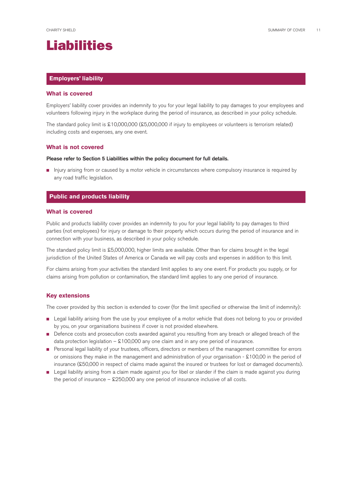

#### **Employers' liability**

#### **What is covered**

Employers' liability cover provides an indemnity to you for your legal liability to pay damages to your employees and volunteers following injury in the workplace during the period of insurance, as described in your policy schedule.

The standard policy limit is £10,000,000 (£5,000,000 if injury to employees or volunteers is terrorism related) including costs and expenses, any one event.

#### **What is not covered**

#### Please refer to Section 5 Liabilities within the policy document for full details.

■ Injury arising from or caused by a motor vehicle in circumstances where compulsory insurance is required by any road traffic legislation.

#### **Public and products liability**

#### **What is covered**

Public and products liability cover provides an indemnity to you for your legal liability to pay damages to third parties (not employees) for injury or damage to their property which occurs during the period of insurance and in connection with your business, as described in your policy schedule.

The standard policy limit is £5,000,000, higher limits are available. Other than for claims brought in the legal jurisdiction of the United States of America or Canada we will pay costs and expenses in addition to this limit.

For claims arising from your activities the standard limit applies to any one event. For products you supply, or for claims arising from pollution or contamination, the standard limit applies to any one period of insurance.

#### **Key extensions**

The cover provided by this section is extended to cover (for the limit specified or otherwise the limit of indemnity):

- Legal liability arising from the use by your employee of a motor vehicle that does not belong to you or provided by you, on your organisations business if cover is not provided elsewhere.
- Defence costs and prosecution costs awarded against you resulting from any breach or alleged breach of the data protection legislation –  $$100,000$  any one claim and in any one period of insurance.
- Personal legal liability of your trustees, officers, directors or members of the management committee for errors or omissions they make in the management and administration of your organisation -  $$100,00$  in the period of insurance (£50,000 in respect of claims made against the insured or trustees for lost or damaged documents).
- Legal liability arising from a claim made against you for libel or slander if the claim is made against you during the period of insurance –  $$250,000$  any one period of insurance inclusive of all costs.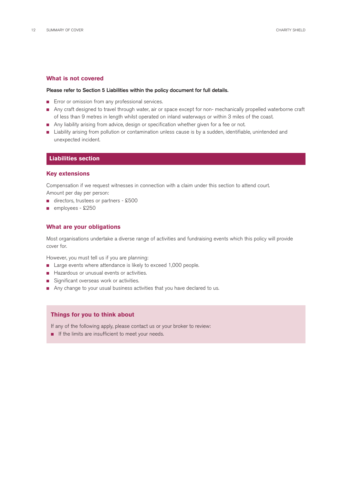#### **What is not covered**

#### Please refer to Section 5 Liabilities within the policy document for full details.

- Error or omission from any professional services.
- Any craft designed to travel through water, air or space except for non- mechanically propelled waterborne craft of less than 9 metres in length whilst operated on inland waterways or within 3 miles of the coast.
- Any liability arising from advice, design or specification whether given for a fee or not.
- Liability arising from pollution or contamination unless cause is by a sudden, identifiable, unintended and unexpected incident.

#### **Liabilities section**

#### **Key extensions**

Compensation if we request witnesses in connection with a claim under this section to attend court. Amount per day per person:

- directors, trustees or partners £500
- employees £250

#### **What are your obligations**

Most organisations undertake a diverse range of activities and fundraising events which this policy will provide cover for.

However, you must tell us if you are planning:

- Large events where attendance is likely to exceed 1,000 people.
- Hazardous or unusual events or activities.
- Significant overseas work or activities.
- Any change to your usual business activities that you have declared to us.

#### **Things for you to think about**

If any of the following apply, please contact us or your broker to review:

■ If the limits are insufficient to meet your needs.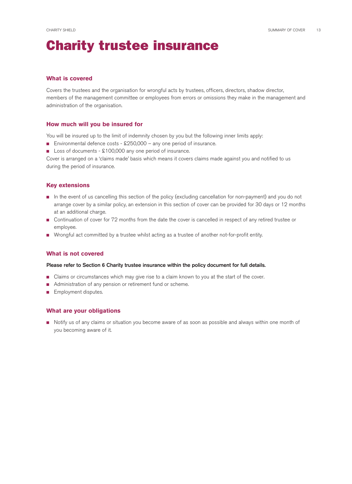## Charity trustee insurance

#### **What is covered**

Covers the trustees and the organisation for wrongful acts by trustees, officers, directors, shadow director, members of the management committee or employees from errors or omissions they make in the management and administration of the organisation.

#### **How much will you be insured for**

You will be insured up to the limit of indemnity chosen by you but the following inner limits apply:

- Environmental defence costs £250,000 any one period of insurance.
- Loss of documents £100,000 any one period of insurance.

Cover is arranged on a 'claims made' basis which means it covers claims made against you and notified to us during the period of insurance.

#### **Key extensions**

- In the event of us cancelling this section of the policy (excluding cancellation for non-payment) and you do not arrange cover by a similar policy, an extension in this section of cover can be provided for 30 days or 12 months at an additional charge.
- Continuation of cover for 72 months from the date the cover is cancelled in respect of any retired trustee or employee.
- Wrongful act committed by a trustee whilst acting as a trustee of another not-for-profit entity.

#### **What is not covered**

#### Please refer to Section 6 Charity trustee insurance within the policy document for full details.

- Claims or circumstances which may give rise to a claim known to you at the start of the cover.
- Administration of any pension or retirement fund or scheme.
- **Employment disputes.**

#### **What are your obligations**

■ Notify us of any claims or situation you become aware of as soon as possible and always within one month of you becoming aware of it.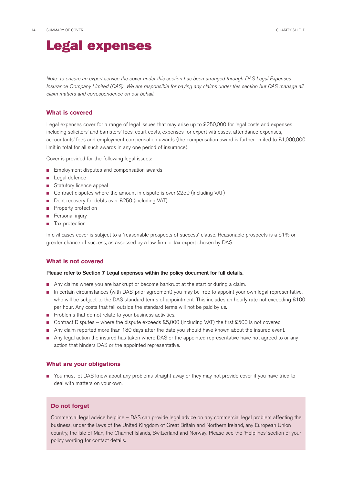### Legal expenses

Note: to ensure an expert service the cover under this section has been arranged through DAS Legal Expenses Insurance Company Limited (DAS). We are responsible for paying any claims under this section but DAS manage all claim matters and correspondence on our behalf.

#### **What is covered**

Legal expenses cover for a range of legal issues that may arise up to  $$250,000$  for legal costs and expenses including solicitors' and barristers' fees, court costs, expenses for expert witnesses, attendance expenses, accountants' fees and employment compensation awards (the compensation award is further limited to £1,000,000 limit in total for all such awards in any one period of insurance).

Cover is provided for the following legal issues:

- Employment disputes and compensation awards
- Legal defence
- Statutory licence appeal
- Contract disputes where the amount in dispute is over £250 (including VAT)
- Debt recovery for debts over £250 (including VAT)
- Property protection
- Personal injury
- Tax protection

In civil cases cover is subject to a "reasonable prospects of success" clause. Reasonable prospects is a 51% or greater chance of success, as assessed by a law firm or tax expert chosen by DAS.

#### **What is not covered**

#### Please refer to Section 7 Legal expenses within the policy document for full details.

- Any claims where you are bankrupt or become bankrupt at the start or during a claim.
- In certain circumstances (with DAS' prior agreement) you may be free to appoint your own legal representative, who will be subject to the DAS standard terms of appointment. This includes an hourly rate not exceeding £100 per hour. Any costs that fall outside the standard terms will not be paid by us.
- Problems that do not relate to your business activities.
- Contract Disputes where the dispute exceeds £5,000 (including VAT) the first £500 is not covered.
- Any claim reported more than 180 days after the date you should have known about the insured event.
- Any legal action the insured has taken where DAS or the appointed representative have not agreed to or any action that hinders DAS or the appointed representative.

#### **What are your obligations**

■ You must let DAS know about any problems straight away or they may not provide cover if you have tried to deal with matters on your own.

#### **Do not forget**

Commercial legal advice helpline – DAS can provide legal advice on any commercial legal problem affecting the business, under the laws of the United Kingdom of Great Britain and Northern Ireland, any European Union country, the Isle of Man, the Channel Islands, Switzerland and Norway. Please see the 'Helplines' section of your policy wording for contact details.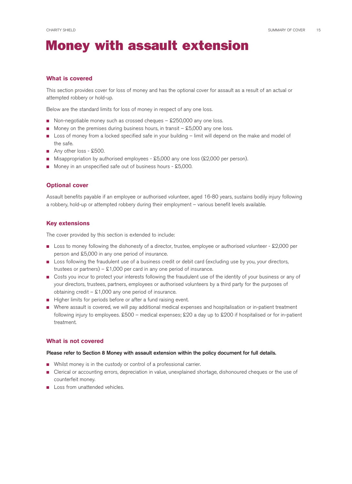### Money with assault extension

#### **What is covered**

This section provides cover for loss of money and has the optional cover for assault as a result of an actual or attempted robbery or hold-up.

Below are the standard limits for loss of money in respect of any one loss.

- Non-negotiable money such as crossed cheques £250,000 any one loss.
- Money on the premises during business hours, in transit £5,000 any one loss.
- Loss of money from a locked specified safe in your building limit will depend on the make and model of the safe.
- Any other loss £500.
- Misappropriation by authorised employees £5,000 any one loss (£2,000 per person).
- Money in an unspecified safe out of business hours £5,000.

#### **Optional cover**

Assault benefits payable if an employee or authorised volunteer, aged 16-80 years, sustains bodily injury following a robbery, hold-up or attempted robbery during their employment – various benefit levels available.

#### **Key extensions**

The cover provided by this section is extended to include:

- Loss to money following the dishonesty of a director, trustee, employee or authorised volunteer £2,000 per person and £5,000 in any one period of insurance.
- Loss following the fraudulent use of a business credit or debit card (excluding use by you, your directors, trustees or partners) –  $$1,000$  per card in any one period of insurance.
- Costs you incur to protect your interests following the fraudulent use of the identity of your business or any of your directors, trustees, partners, employees or authorised volunteers by a third party for the purposes of obtaining credit –  $$1,000$  any one period of insurance.
- Higher limits for periods before or after a fund raising event.
- Where assault is covered, we will pay additional medical expenses and hospitalisation or in-patient treatment following injury to employees.  $$500$  – medical expenses;  $$20$  a day up to  $$200$  if hospitalised or for in-patient treatment.

#### **What is not covered**

#### Please refer to Section 8 Money with assault extension within the policy document for full details.

- Whilst money is in the custody or control of a professional carrier.
- Clerical or accounting errors, depreciation in value, unexplained shortage, dishonoured cheques or the use of counterfeit money.
- Loss from unattended vehicles.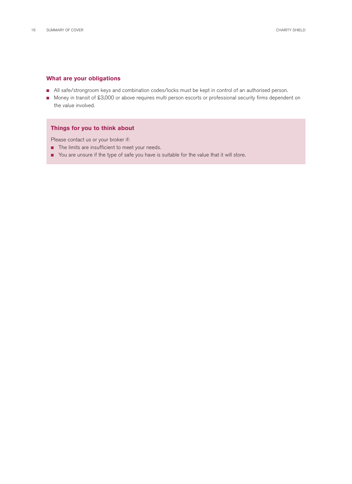#### **What are your obligations**

- All safe/strongroom keys and combination codes/locks must be kept in control of an authorised person.
- Money in transit of £3,000 or above requires multi person escorts or professional security firms dependent on the value involved.

#### **Things for you to think about**

Please contact us or your broker if:

- The limits are insufficient to meet your needs.
- You are unsure if the type of safe you have is suitable for the value that it will store.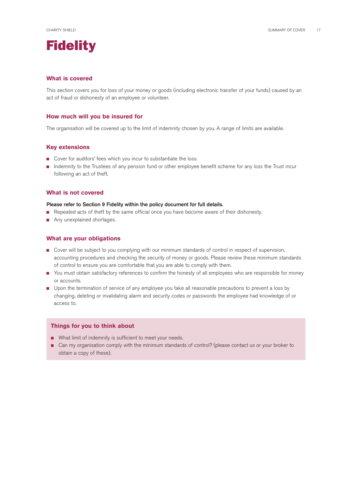

#### **What is covered**

This section covers you for loss of your money or goods (including electronic transfer of your funds) caused by an act of fraud or dishonesty of an employee or volunteer.

#### **How much will you be insured for**

The organisation will be covered up to the limit of indemnity chosen by you. A range of limits are available.

#### **Key extensions**

- Cover for auditors' fees which you incur to substantiate the loss.
- Indemnity to the Trustees of any pension fund or other employee benefit scheme for any loss the Trust incur following an act of theft.

#### **What is not covered**

#### Please refer to Section 9 Fidelity within the policy document for full details.

- Repeated acts of theft by the same official once you have become aware of their dishonesty.
- Any unexplained shortages.

#### **What are your obligations**

- Cover will be subject to you complying with our minimum standards of control in respect of supervision, accounting procedures and checking the security of money or goods. Please review these minimum standards of control to ensure you are comfortable that you are able to comply with them.
- You must obtain satisfactory references to confirm the honesty of all employees who are responsible for money or accounts.
- Upon the termination of service of any employee you take all reasonable precautions to prevent a loss by changing, deleting or invalidating alarm and security codes or passwords the employee had knowledge of or accessto.

#### **Things for you to think about**

- What limit of indemnity is sufficient to meet your needs.
- Can my organisation comply with the minimum standards of control? (please contact us or your broker to obtain a copy of these).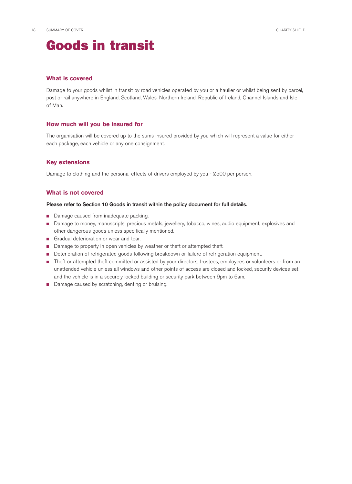### Goods in transit

#### **What is covered**

Damage to your goods whilst in transit by road vehicles operated by you or a haulier or whilst being sent by parcel, post or rail anywhere in England, Scotland, Wales, Northern Ireland, Republic of Ireland, Channel Islands and Isle of Man.

#### **How much will you be insured for**

The organisation will be covered up to the sums insured provided by you which will represent a value for either each package, each vehicle or any one consignment.

#### **Key extensions**

Damage to clothing and the personal effects of drivers employed by you - £500 per person.

#### **What is not covered**

#### Please refer to Section 10 Goods in transit within the policy document for full details.

- Damage caused from inadequate packing.
- Damage to money, manuscripts, precious metals, jewellery, tobacco, wines, audio equipment, explosives and other dangerous goods unless specifically mentioned.
- Gradual deterioration or wear and tear.
- Damage to property in open vehicles by weather or theft or attempted theft.
- Deterioration of refrigerated goods following breakdown or failure of refrigeration equipment.
- Theft or attempted theft committed or assisted by your directors, trustees, employees or volunteers or from an unattended vehicle unless all windows and other points of access are closed and locked, security devices set and the vehicle is in a securely locked building or security park between 9pm to 6am.
- Damage caused by scratching, denting or bruising.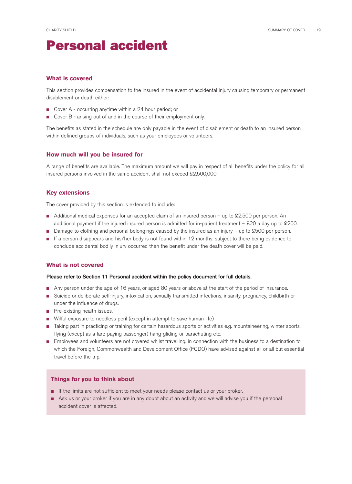### Personal accident

#### **What is covered**

This section provides compensation to the insured in the event of accidental injury causing temporary or permanent disablement or death either:

- Cover A occurring anytime within a 24 hour period; or
- Cover B arising out of and in the course of their employment only.

The benefits as stated in the schedule are only payable in the event of disablement or death to an insured person within defined groups of individuals, such as your employees or volunteers.

#### **How much will you be insured for**

A range of benefits are available. The maximum amount we will pay in respect of all benefits under the policy for all insured persons involved in the same accident shall not exceed  $$2,500,000$ .

#### **Key extensions**

The cover provided by this section is extended to include:

- Additional medical expenses for an accepted claim of an insured person up to £2,500 per person. An additional payment if the injured insured person is admitted for in-patient treatment –  $$20$  a day up to  $$200$ .
- Damage to clothing and personal belongings caused by the insured as an injury up to £500 per person.
- If a person disappears and his/her body is not found within 12 months, subject to there being evidence to conclude accidental bodily injury occurred then the benefit under the death cover will be paid.

#### **What is not covered**

#### Please refer to Section 11 Personal accident within the policy document for full details.

- Any person under the age of 16 years, or aged 80 years or above at the start of the period of insurance.
- Suicide or deliberate self-injury, intoxication, sexually transmitted infections, insanity, pregnancy, childbirth or under the influence of drugs.
- $\blacksquare$  Pre-existing health issues.
- Wilful exposure to needless peril (except in attempt to save human life)
- Taking part in practicing or training for certain hazardous sports or activities e.g. mountaineering, winter sports, flying (except as a fare-paying passenger) hang-gliding or parachuting etc.
- Employees and volunteers are not covered whilst travelling, in connection with the business to a destination to which the Foreign, Commonwealth and Development Office (FCDO) have advised against all or all but essential travel before the trip.

#### **Things for you to think about**

- If the limits are not sufficient to meet your needs please contact us or your broker.
- Ask us or your broker if you are in any doubt about an activity and we will advise you if the personal accident cover is affected.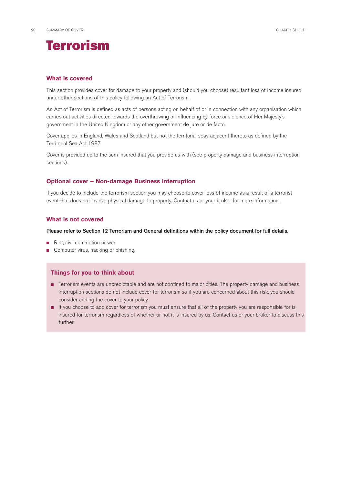

#### **What is covered**

This section provides cover for damage to your property and (should you choose) resultant loss of income insured under other sections of this policy following an Act of Terrorism.

An Act of Terrorism is defined as acts of persons acting on behalf of or in connection with any organisation which carries out activities directed towards the overthrowing or influencing by force or violence of Her Majesty's government in the United Kingdom or any other government de jure or de facto.

Cover applies in England, Wales and Scotland but not the territorial seas adjacent thereto as defined by the Territorial Sea Act 1987

Cover is provided up to the sum insured that you provide us with (see property damage and business interruption sections).

#### **Optional cover – Non-damage Business interruption**

If you decide to include the terrorism section you may choose to cover loss of income as a result of a terrorist event that does not involve physical damage to property. Contact us or your broker for more information.

#### **What is not covered**

#### Please refer to Section 12 Terrorism and General definitions within the policy document for full details.

- Riot, civil commotion or war.
- Computer virus, hacking or phishing.

#### **Things for you to think about**

- Terrorism events are unpredictable and are not confined to major cities. The property damage and business interruption sections do not include cover for terrorism so if you are concerned about this risk, you should consider adding the cover to your policy.
- If you choose to add cover for terrorism you must ensure that all of the property you are responsible for is insured for terrorism regardless of whether or not it is insured by us. Contact us or your broker to discuss this further.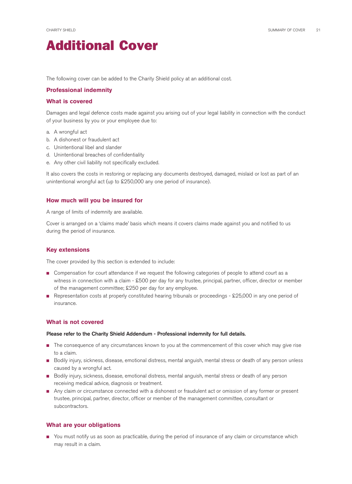

The following cover can be added to the Charity Shield policy at an additional cost.

#### **Professional indemnity**

#### **What is covered**

Damages and legal defence costs made against you arising out of your legal liability in connection with the conduct of your business by you or your employee due to:

- a. A wrongful act
- b. A dishonest or fraudulent act
- c. Unintentional libel and slander
- d. Unintentional breaches of confidentiality
- e. Any other civil liability not specifically excluded.

It also covers the costs in restoring or replacing any documents destroyed, damaged, mislaid or lost as part of an unintentional wrongful act (up to £250,000 any one period of insurance).

#### **How much will you be insured for**

A range of limits of indemnity are available.

Cover is arranged on a 'claims made' basis which means it covers claims made against you and notified to us during the period of insurance.

#### **Key extensions**

The cover provided by this section is extended to include:

- Compensation for court attendance if we request the following categories of people to attend court as a witness in connection with a claim - £500 per day for any trustee, principal, partner, officer, director or member of the management committee; £250 per day for any employee.
- Representation costs at properly constituted hearing tribunals or proceedings £25,000 in any one period of insurance.

#### **What is not covered**

#### Please refer to the Charity Shield Addendum - Professional indemnity for full details.

- The consequence of any circumstances known to you at the commencement of this cover which may give rise to a claim.
- Bodily injury, sickness, disease, emotional distress, mental anguish, mental stress or death of any person unless caused by a wrongful act.
- Bodily injury, sickness, disease, emotional distress, mental anguish, mental stress or death of any person receiving medical advice, diagnosis or treatment.
- Any claim or circumstance connected with a dishonest or fraudulent act or omission of any former or present trustee, principal, partner, director, officer or member of the management committee, consultant or subcontractors.

#### **What are your obligations**

■ You must notify us as soon as practicable, during the period of insurance of any claim or circumstance which may result in a claim.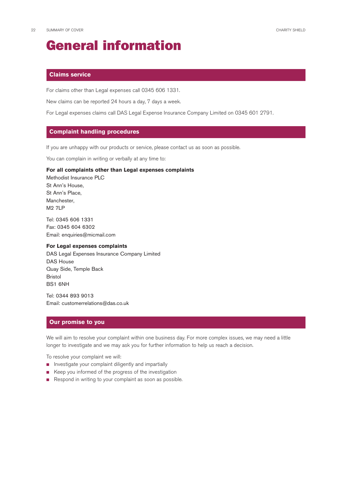### General information

#### **Claims service**

For claims other than Legal expenses call 0345 606 1331.

New claims can be reported 24 hours a day, 7 days a week.

For Legal expenses claims call DAS Legal Expense Insurance Company Limited on 0345 601 2791.

#### **Complaint handling procedures**

If you are unhappy with our products or service, please contact us as soon as possible.

You can complain in writing or verbally at any time to:

#### **For all complaints other than Legal expenses complaints**

Methodist Insurance PLC St Ann's House, St Ann's Place, Manchester, M2 7LP

Tel: 0345 606 1331 Fax: 0345 604 6302 Email: [enquiries@micmail.com](mailto:enquiries@micmail.com)

#### **For Legal expenses complaints**

DAS Legal Expenses Insurance Company Limited DAS House Quay Side, Temple Back Bristol BS1 6NH

Tel: 0344 893 9013 Email: [customerrelations@das.co.uk](mailto:customerrelations@das.co.uk)

#### **Our promise to you**

We will aim to resolve your complaint within one business day. For more complex issues, we may need a little longer to investigate and we may ask you for further information to help us reach a decision.

To resolve your complaint we will:

- Investigate your complaint diligently and impartially
- Keep you informed of the progress of the investigation
- Respond in writing to your complaint as soon as possible.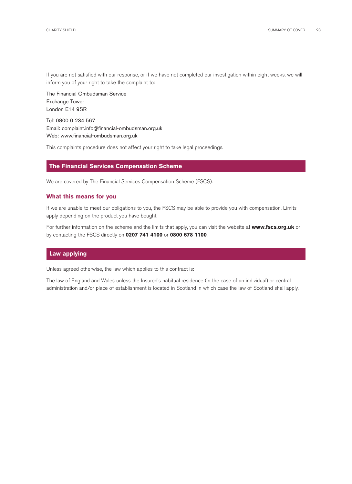If you are not satisfied with our response, or if we have not completed our investigation within eight weeks, we will inform you of your right to take the complaint to:

The Financial Ombudsman Service Exchange Tower London E14 9SR

Tel: 0800 0 234 567 Email: complaint.info@financial-ombudsman.org.uk Web: <www.financial-ombudsman.org.uk>

This complaints procedure does not affect your right to take legal proceedings.

#### **The Financial Services Compensation Scheme**

We are covered by The Financial Services Compensation Scheme (FSCS).

#### **What this means for you**

If we are unable to meet our obligations to you, the FSCS may be able to provide you with compensation. Limits apply depending on the product you have bought.

For further information on the scheme and the limits that apply, you can visit the website at **www.fscs.org.uk** or by contacting the FSCS directly on **0207 741 4100** or **0800 678 1100**.

#### **Law applying**

Unless agreed otherwise, the law which applies to this contract is:

The law of England and Wales unless the Insured's habitual residence (in the case of an individual) or central administration and/or place of establishment is located in Scotland in which case the law of Scotland shall apply.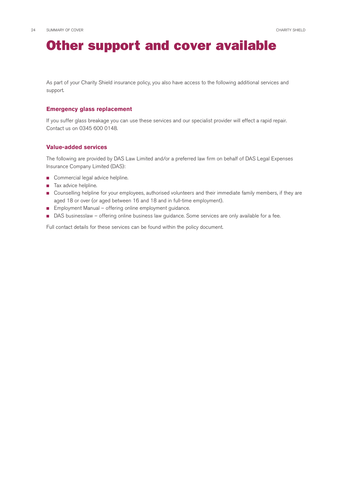### Other support and cover available

As part of your Charity Shield insurance policy, you also have access to the following additional services and support.

#### **Emergency glass replacement**

If you suffer glass breakage you can use these services and our specialist provider will effect a rapid repair. Contact us on 0345 600 0148.

#### **Value-added services**

The following are provided by DAS Law Limited and/or a preferred law firm on behalf of DAS Legal Expenses Insurance Company Limited (DAS):

- Commercial legal advice helpline.
- Tax advice helpline.
- Counselling helpline for your employees, authorised volunteers and their immediate family members, if they are aged 18 or over (or aged between 16 and 18 and in full-time employment).
- **Employment Manual offering online employment guidance.**
- DAS businesslaw offering online business law guidance. Some services are only available for a fee.

Full contact details for these services can be found within the policy document.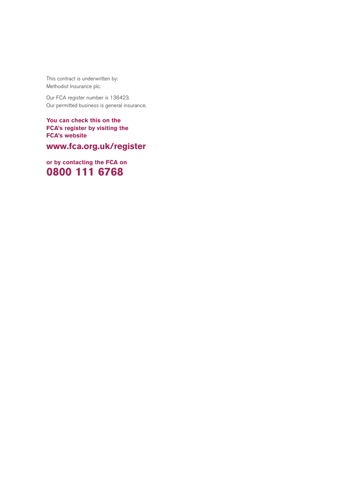This contract is underwritten by: Methodist Insurance plc.

Our FCA register number is 136423. Our permitted business is general insurance.

**You can check this on the FCA's register by visiting the FCA's website** 

**<www.fca.org.uk/register>**

**or by contacting the FCA on 0800 111 6768**